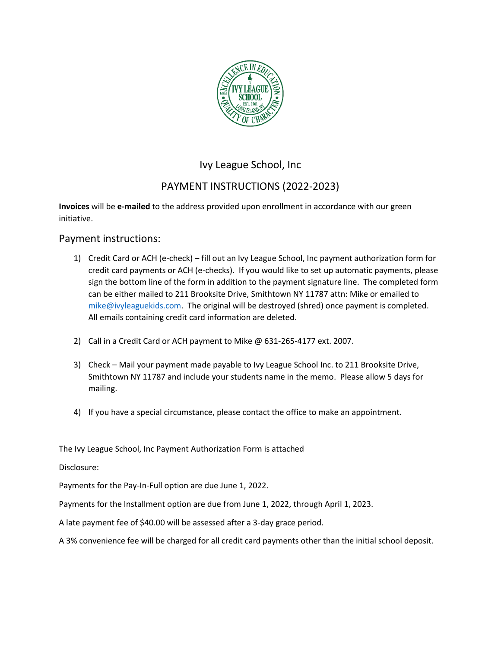

## Ivy League School, Inc

## PAYMENT INSTRUCTIONS (2022-2023)

**Invoices** will be **e-mailed** to the address provided upon enrollment in accordance with our green initiative.

Payment instructions:

- 1) Credit Card or ACH (e-check) fill out an Ivy League School, Inc payment authorization form for credit card payments or ACH (e-checks). If you would like to set up automatic payments, please sign the bottom line of the form in addition to the payment signature line. The completed form can be either mailed to 211 Brooksite Drive, Smithtown NY 11787 attn: Mike or emailed to [mike@ivyleaguekids.com.](mailto:mike@ivyleaguekids.com) The original will be destroyed (shred) once payment is completed. All emails containing credit card information are deleted.
- 2) Call in a Credit Card or ACH payment to Mike @ 631-265-4177 ext. 2007.
- 3) Check Mail your payment made payable to Ivy League School Inc. to 211 Brooksite Drive, Smithtown NY 11787 and include your students name in the memo. Please allow 5 days for mailing.
- 4) If you have a special circumstance, please contact the office to make an appointment.

The Ivy League School, Inc Payment Authorization Form is attached

Disclosure:

Payments for the Pay-In-Full option are due June 1, 2022.

Payments for the Installment option are due from June 1, 2022, through April 1, 2023.

A late payment fee of \$40.00 will be assessed after a 3-day grace period.

A 3% convenience fee will be charged for all credit card payments other than the initial school deposit.